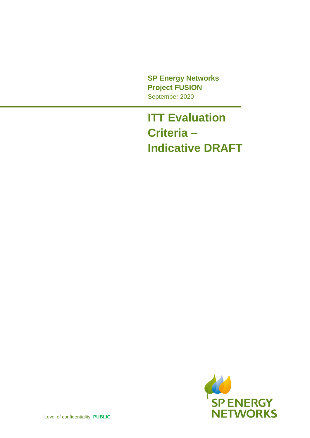**SP Energy Networks Project FUSION** September 2020

## **ITT Evaluation Criteria – Indicative DRAFT**